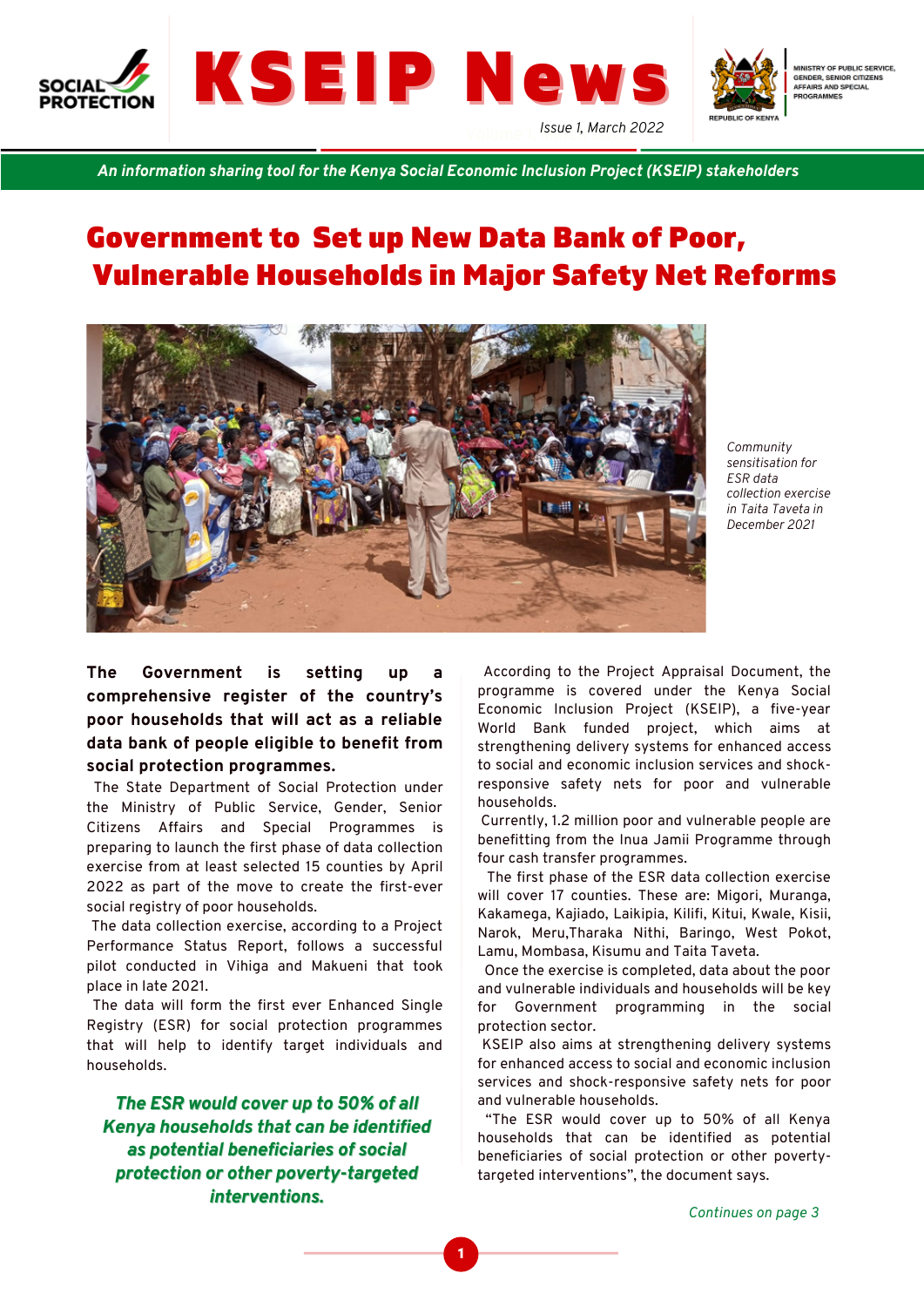





MINISTRY OF PUBLIC SERVICE. GENDER, SENIOR CITIZENS **DER, DENIOR CITY**<br>AIRS AND SPECIAL<br>IGRAMMES

*An information sharing tool for the Kenya Social Economic Inclusion Project (KSEIP) stakeholders*

# Government to Set up New Data Bank of Poor, Vulnerable Households in Major Safety Net Reforms



*Community sensitisation for ESR data collection exercise in Taita Taveta in December 2021*

**The Government is setting up a comprehensive register of the country's poor households that will act as a reliable data bank of people eligible to benefit from social protection programmes.**

The State Department of Social Protection under the Ministry of Public Service, Gender, Senior Citizens Affairs and Special Programmes is preparing to launch the first phase of data collection exercise from at least selected 15 counties by April 2022 as part of the move to create the first-ever social registry of poor households.

The data collection exercise, according to a Project Performance Status Report, follows a successful pilot conducted in Vihiga and Makueni that took place in late 2021.

The data will form the first ever Enhanced Single Registry (ESR) for social protection programmes that will help to identify target individuals and households.

*The ESR would cover up to 50% of all Kenya households that can be identified as potential beneficiaries of social protection or other poverty-targeted interventions.*

According to the Project Appraisal Document, the programme is covered under the Kenya Social Economic Inclusion Project (KSEIP), a five-year World Bank funded project, which aims at strengthening delivery systems for enhanced access to social and economic inclusion services and shockresponsive safety nets for poor and vulnerable households.

Currently, 1.2 million poor and vulnerable people are benefitting from the Inua Jamii Programme through four cash transfer programmes.

The first phase of the ESR data collection exercise will cover 17 counties. These are: Migori, Muranga, Kakamega, Kajiado, Laikipia, Kilifi, Kitui, Kwale, Kisii, Narok, Meru,Tharaka Nithi, Baringo, West Pokot, Lamu, Mombasa, Kisumu and Taita Taveta.

Once the exercise is completed, data about the poor and vulnerable individuals and households will be key for Government programming in the social protection sector.

KSEIP also aims at strengthening delivery systems for enhanced access to social and economic inclusion services and shock-responsive safety nets for poor and vulnerable households.

"The ESR would cover up to 50% of all Kenya households that can be identified as potential beneficiaries of social protection or other povertytargeted interventions", the document says.

*Continues on page 3*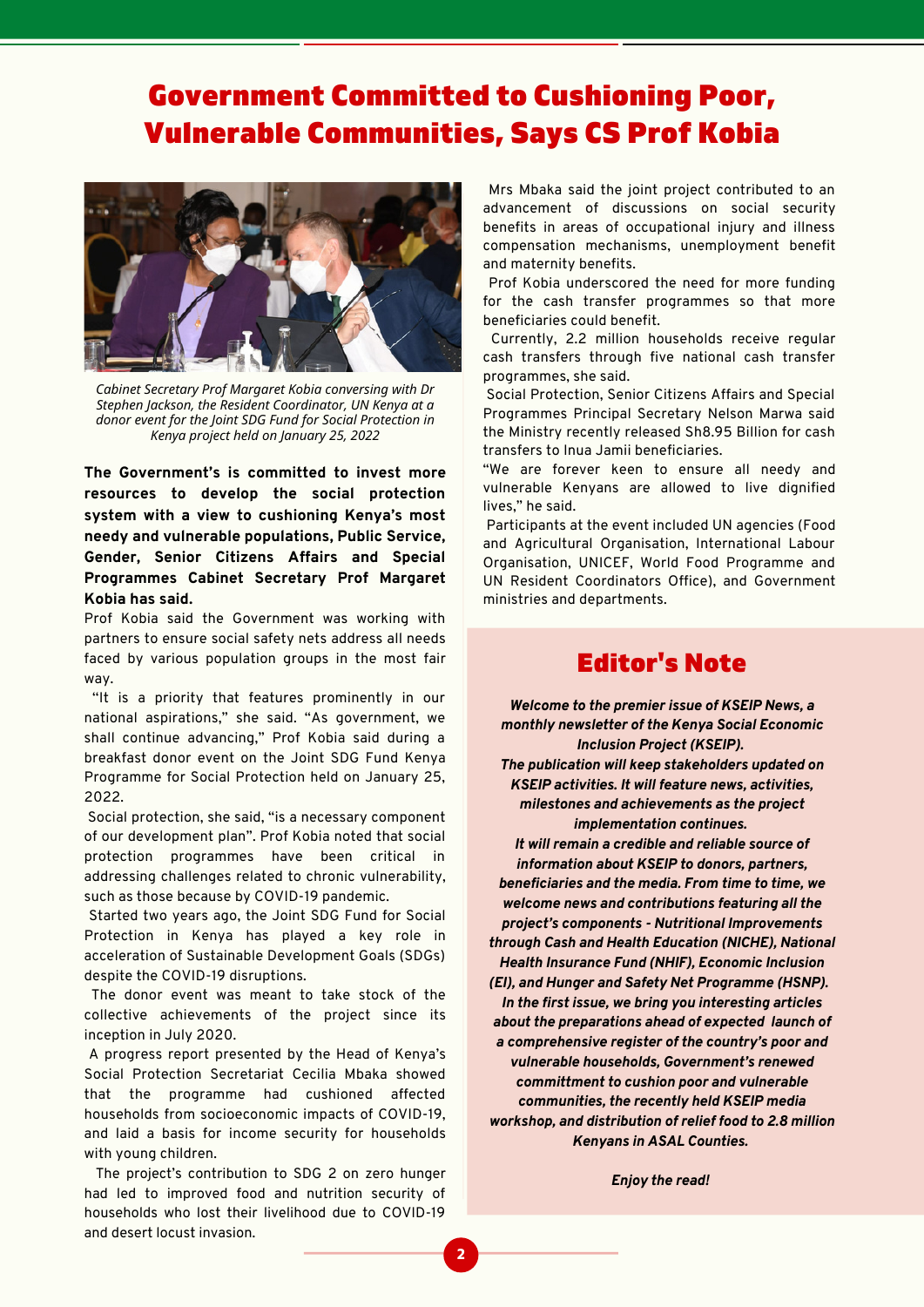# Government Committed to Cushioning Poor, Vulnerable Communities, Says CS Prof Kobia



*Cabinet Secretary Prof Margaret Kobia conversing with Dr Stephen Jackson, the Resident Coordinator, UN Kenya at a donor event for the Joint SDG Fund for Social Protection in Kenya project held on January 25, 2022*

**The Government's is committed to invest more resources to develop the social protection system with a view to cushioning Kenya's most needy and vulnerable populations, Public Service, Gender, Senior Citizens Affairs and Special Programmes Cabinet Secretary Prof Margaret Kobia has said.**

Prof Kobia said the Government was working with partners to ensure social safety nets address all needs faced by various population groups in the most fair way.

''It is a priority that features prominently in our national aspirations," she said. "As government, we shall continue advancing," Prof Kobia said during a breakfast donor event on the Joint SDG Fund Kenya Programme for Social Protection held on January 25, 2022.

Social protection, she said, "is a necessary component of our development plan". Prof Kobia noted that social protection programmes have been critical in addressing challenges related to chronic vulnerability, such as those because by COVID-19 pandemic.

Started two years ago, the Joint SDG Fund for Social Protection in Kenya has played a key role in acceleration of Sustainable Development Goals (SDGs) despite the COVID-19 disruptions.

The donor event was meant to take stock of the collective achievements of the project since its inception in July 2020.

A progress report presented by the Head of Kenya's Social Protection Secretariat Cecilia Mbaka showed that the programme had cushioned affected households from socioeconomic impacts of COVID-19, and laid a basis for income security for households with young children.

The project's contribution to SDG 2 on zero hunger had led to improved food and nutrition security of households who lost their livelihood due to COVID-19 and desert locust invasion.

Mrs Mbaka said the joint project contributed to an advancement of discussions on social security benefits in areas of occupational injury and illness compensation mechanisms, unemployment benefit and maternity benefits.

Prof Kobia underscored the need for more funding for the cash transfer programmes so that more beneficiaries could benefit.

Currently, 2.2 million households receive regular cash transfers through five national cash transfer programmes, she said.

Social Protection, Senior Citizens Affairs and Special Programmes Principal Secretary Nelson Marwa said the Ministry recently released Sh8.95 Billion for cash transfers to Inua Jamii beneficiaries.

"We are forever keen to ensure all needy and vulnerable Kenyans are allowed to live dignified lives," he said.

Participants at the event included UN agencies (Food and Agricultural Organisation, International Labour Organisation, UNICEF, World Food Programme and UN Resident Coordinators Office), and Government ministries and departments.

### Editor's Note

*Welcome to the premier issue of KSEIP News, a monthly newsletter of the Kenya Social Economic Inclusion Project (KSEIP). The publication will keep stakeholders updated on KSEIP activities. It will feature news, activities, milestones and achievements as the project implementation continues.*

*It will remain a credible and reliable source of information about KSEIP to donors, partners, beneficiaries and the media. From time to time, we welcome news and contributions featuring all the project's components - Nutritional Improvements through Cash and Health Education (NICHE), National Health Insurance Fund (NHIF), Economic Inclusion (EI), and Hunger and Safety Net Programme (HSNP). In the first issue, we bring you interesting articles about the preparations ahead of expected launch of a comprehensive register of the country's poor and vulnerable households, Government's renewed committment to cushion poor and vulnerable communities, the recently held KSEIP media workshop, and distribution of relief food to 2.8 million Kenyans in ASAL Counties.*

*Enjoy the read!*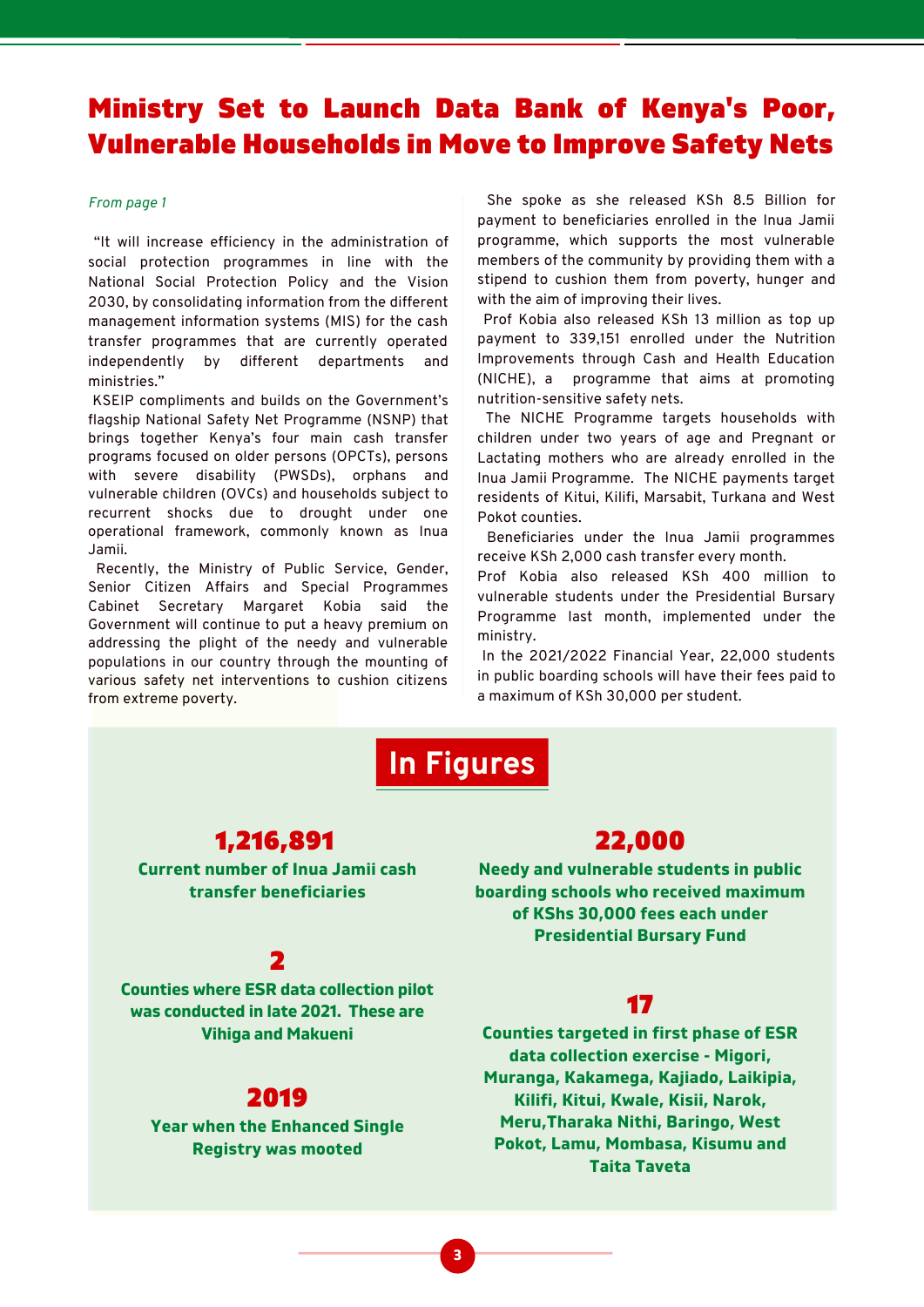## Ministry Set to Launch Data Bank of Kenya's Poor, Vulnerable Households in Move to Improve Safety Nets

#### *From page 1*

"It will increase efficiency in the administration of social protection programmes in line with the National Social Protection Policy and the Vision 2030, by consolidating information from the different management information systems (MIS) for the cash transfer programmes that are currently operated independently by different departments and ministries."

KSEIP compliments and builds on the Government's flagship National Safety Net Programme (NSNP) that brings together Kenya's four main cash transfer programs focused on older persons (OPCTs), persons with severe disability (PWSDs), orphans and vulnerable children (OVCs) and households subject to recurrent shocks due to drought under one operational framework, commonly known as Inua Jamii.

Recently, the Ministry of Public Service, Gender, Senior Citizen Affairs and Special Programmes Cabinet Secretary Margaret Kobia said the Government will continue to put a heavy premium on addressing the plight of the needy and vulnerable populations in our country through the mounting of various safety net interventions to cushion citizens from extreme poverty.

She spoke as she released KSh 8.5 Billion for payment to beneficiaries enrolled in the Inua Jamii programme, which supports the most vulnerable members of the community by providing them with a stipend to cushion them from poverty, hunger and with the aim of improving their lives.

Prof Kobia also released KSh 13 million as top up payment to 339,151 enrolled under the Nutrition Improvements through Cash and Health Education (NICHE), a programme that aims at promoting nutrition-sensitive safety nets.

The NICHE Programme targets households with children under two years of age and Pregnant or Lactating mothers who are already enrolled in the Inua Jamii Programme. The NICHE payments target residents of Kitui, Kilifi, Marsabit, Turkana and West Pokot counties.

Beneficiaries under the Inua Jamii programmes receive KSh 2,000 cash transfer every month.

Prof Kobia also released KSh 400 million to vulnerable students under the Presidential Bursary Programme last month, implemented under the ministry.

In the 2021/2022 Financial Year, 22,000 students in public boarding schools will have their fees paid to a maximum of KSh 30,000 per student.

# **In Figures**

#### 1,216,891

**Current number of Inua Jamii cash transfer beneficiaries**

#### 22,000

**Needy and vulnerable students in public boarding schools who received maximum of KShs 30,000 fees each under Presidential Bursary Fund**

### 2

**Counties where ESR data collection pilot was conducted in late 2021. These are Vihiga and Makueni**

### 2019

**Year when the Enhanced Single Registry was mooted**

### 17

**Counties targeted in first phase of ESR data collection exercise - Migori, Muranga, Kakamega, Kajiado, Laikipia, Kilifi, Kitui, Kwale, Kisii, Narok, Meru,Tharaka Nithi, Baringo, West Pokot, Lamu, Mombasa, Kisumu and Taita Taveta**